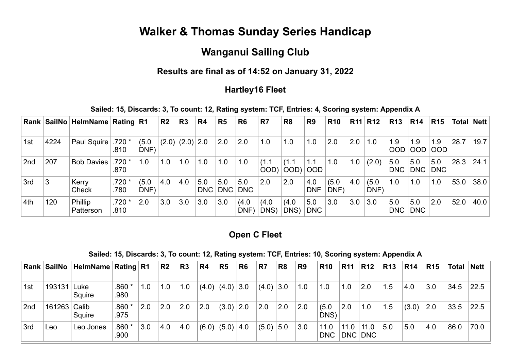# **Walker & Thomas Sunday Series Handicap**

# **Wanganui Sailing Club**

# **Results are final as of 14:52 on January 31, 2022**

### **Hartley16 Fleet**

**Sailed: 15, Discards: 3, To count: 12, Rating system: TCF, Entries: 4, Scoring system: Appendix A**

|                 |      | Rank   SailNo   HelmName   Rating   R1 |                 |               | R <sub>2</sub> | R3                    | R <sub>4</sub> | R5                 | R <sub>6</sub>      | R <sub>7</sub> | R <sub>8</sub>       | R <sub>9</sub>    | <b>R10</b>    |     | R11 R12       | <b>R13</b>        | <b>R14</b>        | <b>R15</b>        | Total | <b>Nett</b> |
|-----------------|------|----------------------------------------|-----------------|---------------|----------------|-----------------------|----------------|--------------------|---------------------|----------------|----------------------|-------------------|---------------|-----|---------------|-------------------|-------------------|-------------------|-------|-------------|
| 1st             | 4224 | Paul Squire                            | $.720*$<br>.810 | (5.0)<br>DNF) |                | $(2.0)$ $(2.0)$ $2.0$ |                | 2.0                | 2.0                 | 1.0            | 1.0                  | 1.0               | 2.0           | 2.0 | $\vert$ 1.0   | 1.9<br><b>OOD</b> | 1.9<br>OOD        | 1.9<br><b>OOD</b> | 28.7  | 19.7        |
| 2 <sub>nd</sub> | 207  | <b>Bob Davies</b>                      | .720 *<br>.870  | 1.0           | 1.0            | 1.0                   | 1.0            | 1.0                | 1.0                 | (1.1)<br>OOD)  | (1.1)<br>$OOD$ $OOD$ | 1.1               | 1.0           | 1.0 | (2.0)         | 5.0<br><b>DNC</b> | 5.0<br>DNC        | 5.0<br><b>DNC</b> | 28.3  | 24.1        |
| 3rd             | 3    | Kerry<br>Check                         | .720<br>.780    | (5.0)<br>DNF) | 4.0            | 4.0                   | 5.0            | 5.0<br>DNC DNC DNC | 5.0                 | 2.0            | 2.0                  | 4.0<br><b>DNF</b> | (5.0)<br>DNF) | 4.0 | (5.0)<br>DNF) | 1.0               | 1.0               | 1.0               | 53.0  | 38.0        |
| 4th             | 120  | Phillip<br>Patterson                   | .720 *<br>.810  | 2.0           | 3.0            | 3.0                   | 3.0            | 3.0                | (4.0)<br><b>DNF</b> | (4.0)<br>DNS)  | (4.0)<br>DNS)        | 5.0<br><b>DNC</b> | 3.0           | 3.0 | 3.0           | 5.0<br><b>DNC</b> | 5.0<br><b>DNC</b> | 2.0               | 52.0  | 40.0        |

### **Open C Fleet**

| Sailed: 15, Discards: 3, To count: 12, Rating system: TCF, Entries: 10, Scoring system: Appendix A |  |  |  |  |  |
|----------------------------------------------------------------------------------------------------|--|--|--|--|--|
|----------------------------------------------------------------------------------------------------|--|--|--|--|--|

|                 |             | Rank SailNo HelmName Rating R1 |                           |     | $\overline{\mathsf{R2}}$ | R3  | R4  | R <sub>5</sub>  | R <sub>6</sub> | R7          | R <sub>8</sub> | R <sub>9</sub> | <b>R10</b>         | <b>R11</b> | <b>R12</b>      | <b>R13</b> | R14   | <b>R15</b> |      | Total Nett |
|-----------------|-------------|--------------------------------|---------------------------|-----|--------------------------|-----|-----|-----------------|----------------|-------------|----------------|----------------|--------------------|------------|-----------------|------------|-------|------------|------|------------|
| 1st             | 193131 Luke | Squire                         | $.860*$<br>.980           | 1.0 | 1.0                      | 1.0 |     | $(4.0)$ $(4.0)$ | 3.0            | $(4.0)$ 3.0 |                | 1.0            | 1.0                | 1.0        | 2.0             | 1.5        | 4.0   | 3.0        | 34.5 | 22.5       |
| 2 <sub>nd</sub> |             | Squire                         | $.860*$<br>.975           | 2.0 | 2.0                      | 2.0 | 2.0 | (3.0)           | 2.0            | 2.0         | 2.0            | 2.0            | (5.0)<br>DNS)      | 2.0        | 1.0             | 1.5        | (3.0) | 2.0        | 33.5 | 22.5       |
| 3rd             | Leo         | Leo Jones                      | .860 <sup>1</sup><br>.900 | 3.0 | 4.0                      | 4.0 |     | $(6.0)$ $(5.0)$ | 4.0            | (5.0)       | 5.0            | 3.0            | 11.0<br><b>DNC</b> | 11.0       | 11.0<br>DNC DNC | 5.0        | 5.0   | 4.0        | 86.0 | 70.0       |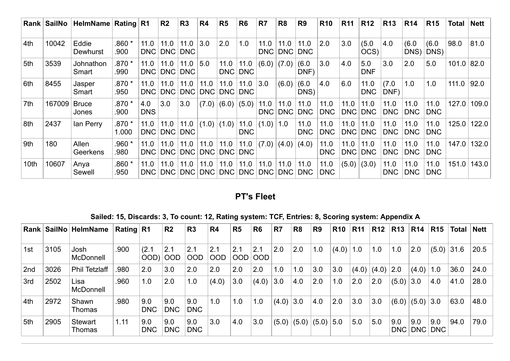|      | Rank SailNo | HelmName Rating R1    |                 |                    | R <sub>2</sub>     | R3                 | R <sub>4</sub> | R <sub>5</sub>   | R <sub>6</sub>     | R <sub>7</sub>                        | R <sub>8</sub>          | R <sub>9</sub>     | <b>R10</b>         | <b>R11</b>  | <b>R12</b>         | <b>R13</b>         | <b>R14</b>         | <b>R15</b>         | Total        | Nett  |
|------|-------------|-----------------------|-----------------|--------------------|--------------------|--------------------|----------------|------------------|--------------------|---------------------------------------|-------------------------|--------------------|--------------------|-------------|--------------------|--------------------|--------------------|--------------------|--------------|-------|
| 4th  | 10042       | Eddie<br>Dewhurst     | .860 *<br>.900  | 11.0<br><b>DNC</b> | 11.0<br><b>DNC</b> | 11.0<br><b>DNC</b> | 3.0            | 2.0              | 1.0                | 11.0<br>DNC                           | 11.0                    | 11.0<br>DNC DNC    | 2.0                | 3.0         | (5.0)<br>OCS)      | 4.0                | (6.0)<br>DNS)      | (6.0)<br>DNS)      | 98.0         | 81.0  |
| 5th  | 3539        | Johnathon<br>Smart    | .870 *<br>.990  | 11.0<br><b>DNC</b> | 11.0<br>DNC        | 11.0<br><b>DNC</b> | 5.0            | 11.0<br>DNC      | 11.0<br><b>DNC</b> |                                       | $(6.0)$ $(7.0)$ $(6.0)$ | DNF)               | 3.0                | 4.0         | 5.0<br><b>DNF</b>  | 3.0                | 2.0                | 5.0                | $101.0$ 82.0 |       |
| 6th  | 8455        | Jasper<br>Smart       | .870 *<br>.950  | 11.0<br><b>DNC</b> | 11.0<br><b>DNC</b> | 11.0<br><b>DNC</b> | 11.0           | 11.0<br>DNC DNC  | 11.0<br><b>DNC</b> | 3.0                                   | (6.0)                   | (6.0)<br>DNS)      | 4.0                | 6.0         | 11.0<br><b>DNC</b> | (7.0)<br>DNF)      | 1.0                | 1.0                | 111.0        | 92.0  |
| 7th  | 167009      | <b>Bruce</b><br>Jones | .870 *<br>.900  | 4.0<br><b>DNS</b>  | 3.0                | 3.0                | (7.0)          | (6.0)            | (5.0)              | 11.0<br>DNC                           | 11.0                    | 11.0<br>DNC DNC    | 11.0<br><b>DNC</b> | 11.0<br>DNC | 11.0<br><b>DNC</b> | 11.0<br><b>DNC</b> | 11.0<br><b>DNC</b> | 11.0<br><b>DNC</b> | 127.0        | 109.0 |
| 8th  | 2437        | lan Perry             | .870 *<br>1.000 | 11.0<br><b>DNC</b> | 11.0               | 11.0<br>DNC DNC    | $(1.0)$ (1.0)  |                  | 11.0<br><b>DNC</b> | (1.0)                                 | 1.0                     | 11.0<br><b>DNC</b> | 11.0<br><b>DNC</b> | 11.0<br>DNC | 11.0<br><b>DNC</b> | 11.0<br><b>DNC</b> | 11.0<br><b>DNC</b> | 11.0<br><b>DNC</b> | 125.0        | 122.0 |
| 9th  | 180         | Allen<br>Geerkens     | .960 *<br>.980  | 11.0<br>DNC        | 11.0<br><b>DNC</b> | 11.0<br>DNC        | 11.0           | 11.0 <br>DNC DNC | 11.0<br><b>DNC</b> | (7.0)                                 |                         | (4.0) (4.0)        | 11.0<br><b>DNC</b> | 11.0<br>DNC | 11.0<br><b>DNC</b> | 11.0<br><b>DNC</b> | 11.0<br><b>DNC</b> | 11.0<br><b>DNC</b> | 147.0        | 132.0 |
| 10th | 10607       | Anya<br>Sewell        | $.860*$<br>.950 | 11.0<br>DNC        | 11.0<br>DNC        | 11.0<br>DNC        | 11.0           | 11.0<br>DNC DNC  | 11.0<br>DNC        | 11.0<br>$ \mathsf{DNC}\hspace{.4pt} $ | 11.0                    | 11.0<br>DNC DNC    | 11.0<br><b>DNC</b> |             | $(5.0)$ $(3.0)$    | 11.0<br><b>DNC</b> | 11.0<br><b>DNC</b> | 11.0<br><b>DNC</b> | 151.0        | 143.0 |

# **PT's Fleet**

# **Sailed: 15, Discards: 3, To count: 12, Rating system: TCF, Entries: 8, Scoring system: Appendix A**

| Rank |      | SailNo   HelmName        | Rating $ R1$ |                   | R <sub>2</sub>    | R <sub>3</sub>    | R <sub>4</sub>    | R5                | R <sub>6</sub>    | R <sub>7</sub> | R <sub>8</sub> | R <sub>9</sub> | <b>R10</b> | <b>R11</b> | <b>R12</b> | <b>R13</b>        | <b>R14</b>        | <b>R15</b>        | Total | <b>Nett</b> |
|------|------|--------------------------|--------------|-------------------|-------------------|-------------------|-------------------|-------------------|-------------------|----------------|----------------|----------------|------------|------------|------------|-------------------|-------------------|-------------------|-------|-------------|
| 1st  | 3105 | Josh<br><b>McDonnell</b> | .900         | (2.1)<br>(OOD     | 2.1<br><b>OOD</b> | 2.1<br><b>OOD</b> | 2.1<br><b>OOD</b> | 2.1<br><b>OOD</b> | 2.1<br><b>OOD</b> | 2.0            | 2.0            | 1.0            | (4.0)      | 1.0        | 1.0        | 1.0               | 2.0               | (5.0)             | 31.6  | 20.5        |
| 2nd  | 3026 | <b>Phil Tetzlaff</b>     | .980         | 2.0               | 3.0               | 2.0               | 2.0               | 2.0               | 2.0               | 1.0            | 1.0            | 3.0            | 3.0        | (4.0)      | (4.0)      | 2.0               | (4.0)             | 1.0               | 36.0  | 24.0        |
| 3rd  | 2502 | Lisa<br><b>McDonnell</b> | .960         | 1.0               | 2.0               | 1.0               | (4.0)             | 3.0               | (4.0)             | 3.0            | 4.0            | 2.0            | 1.0        | 2.0        | 2.0        | (5.0)             | 3.0               | 4.0               | 41.0  | 28.0        |
| 4th  | 2972 | Shawn<br>Thomas          | .980         | 9.0<br><b>DNC</b> | 9.0<br><b>DNC</b> | 9.0<br><b>DNC</b> | 1.0               | 1.0               | 1.0               | (4.0)          | 3.0            | 4.0            | 2.0        | 3.0        | 3.0        | (6.0)             | (5.0)             | 3.0               | 63.0  | 48.0        |
| 5th  | 2905 | <b>Stewart</b><br>Thomas | 1.11         | 9.0<br><b>DNC</b> | 9.0<br><b>DNC</b> | 9.0<br><b>DNC</b> | 3.0               | 4.0               | 3.0               | (5.0)          | (5.0)          | (5.0)          | 5.0        | 5.0        | 5.0        | 9.0<br><b>DNC</b> | 9.0<br><b>DNC</b> | 9.0<br><b>DNC</b> | 94.0  | 79.0        |